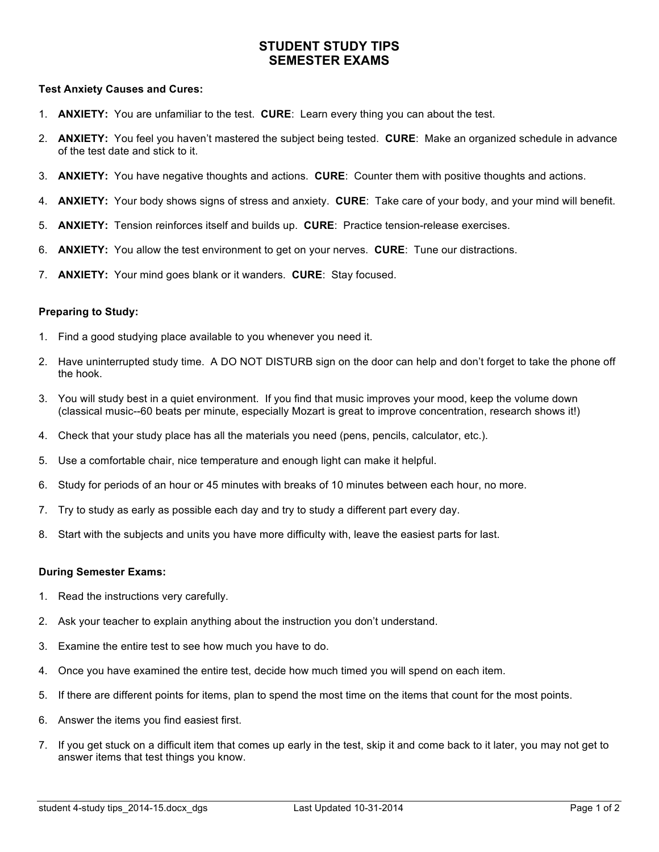# **STUDENT STUDY TIPS SEMESTER EXAMS**

#### **Test Anxiety Causes and Cures:**

- 1. **ANXIETY:** You are unfamiliar to the test. **CURE**: Learn every thing you can about the test.
- 2. **ANXIETY:** You feel you haven't mastered the subject being tested. **CURE**: Make an organized schedule in advance of the test date and stick to it.
- 3. **ANXIETY:** You have negative thoughts and actions. **CURE**: Counter them with positive thoughts and actions.
- 4. **ANXIETY:** Your body shows signs of stress and anxiety. **CURE**: Take care of your body, and your mind will benefit.
- 5. **ANXIETY:** Tension reinforces itself and builds up. **CURE**: Practice tension-release exercises.
- 6. **ANXIETY:** You allow the test environment to get on your nerves. **CURE**: Tune our distractions.
- 7. **ANXIETY:** Your mind goes blank or it wanders. **CURE**: Stay focused.

### **Preparing to Study:**

- 1. Find a good studying place available to you whenever you need it.
- 2. Have uninterrupted study time. A DO NOT DISTURB sign on the door can help and don't forget to take the phone off the hook.
- 3. You will study best in a quiet environment. If you find that music improves your mood, keep the volume down (classical music--60 beats per minute, especially Mozart is great to improve concentration, research shows it!)
- 4. Check that your study place has all the materials you need (pens, pencils, calculator, etc.).
- 5. Use a comfortable chair, nice temperature and enough light can make it helpful.
- 6. Study for periods of an hour or 45 minutes with breaks of 10 minutes between each hour, no more.
- 7. Try to study as early as possible each day and try to study a different part every day.
- 8. Start with the subjects and units you have more difficulty with, leave the easiest parts for last.

#### **During Semester Exams:**

- 1. Read the instructions very carefully.
- 2. Ask your teacher to explain anything about the instruction you don't understand.
- 3. Examine the entire test to see how much you have to do.
- 4. Once you have examined the entire test, decide how much timed you will spend on each item.
- 5. If there are different points for items, plan to spend the most time on the items that count for the most points.
- 6. Answer the items you find easiest first.
- 7. If you get stuck on a difficult item that comes up early in the test, skip it and come back to it later, you may not get to answer items that test things you know.